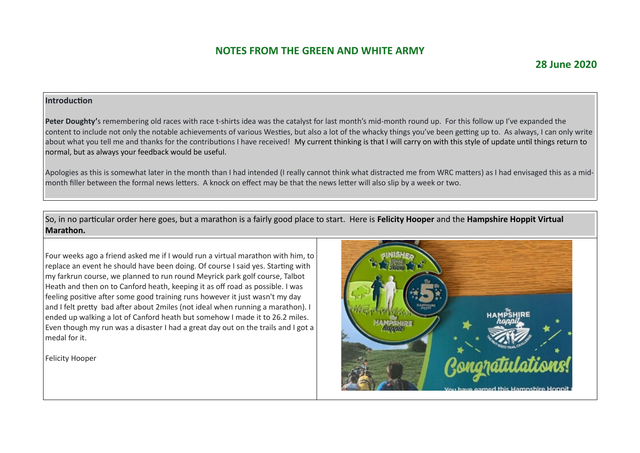### **28 June 2020**

#### **Introduction**

Peter Doughty's remembering old races with race t-shirts idea was the catalyst for last month's mid-month round up. For this follow up I've expanded the content to include not only the notable achievements of various Westies, but also a lot of the whacky things you've been getting up to. As always, I can only write about what you tell me and thanks for the contributions I have received! My current thinking is that I will carry on with this style of update until things return to normal, but as always your feedback would be useful.

Apologies as this is somewhat later in the month than I had intended (I really cannot think what distracted me from WRC matters) as I had envisaged this as a midmonth filler between the formal news letters. A knock on effect may be that the news letter will also slip by a week or two.

So, in no particular order here goes, but a marathon is a fairly good place to start. Here is **Felicity Hooper** and the **Hampshire Hoppit Virtual Marathon.**

Four weeks ago a friend asked me if I would run a virtual marathon with him, to replace an event he should have been doing. Of course I said yes. Starting with my farkrun course, we planned to run round Meyrick park golf course, Talbot Heath and then on to Canford heath, keeping it as off road as possible. I was feeling positive after some good training runs however it just wasn't my day and I felt pretty bad after about 2miles (not ideal when running a marathon). I ended up walking a lot of Canford heath but somehow I made it to 26.2 miles. Even though my run was a disaster I had a great day out on the trails and I got a medal for it.

Felicity Hooper

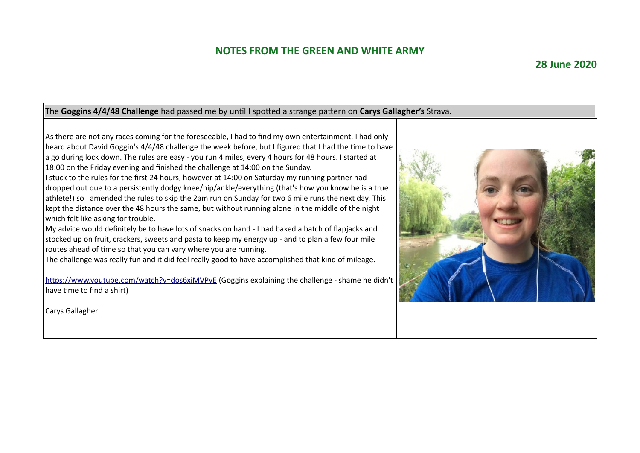### **28 June 2020**

#### The **Goggins 4/4/48 Challenge** had passed me by until I spotted a strange pattern on **Carys Gallagher's** Strava.

As there are not any races coming for the foreseeable, I had to find my own entertainment. I had only heard about David Goggin's 4/4/48 challenge the week before, but I figured that I had the time to have a go during lock down. The rules are easy - you run 4 miles, every 4 hours for 48 hours. I started at 18:00 on the Friday evening and finished the challenge at 14:00 on the Sunday.

I stuck to the rules for the first 24 hours, however at 14:00 on Saturday my running partner had dropped out due to a persistently dodgy knee/hip/ankle/everything (that's how you know he is a true athlete!) so I amended the rules to skip the 2am run on Sunday for two 6 mile runs the next day. This kept the distance over the 48 hours the same, but without running alone in the middle of the night which felt like asking for trouble.

My advice would definitely be to have lots of snacks on hand - I had baked a batch of flapjacks and stocked up on fruit, crackers, sweets and pasta to keep my energy up - and to plan a few four mile routes ahead of time so that you can vary where you are running.

The challenge was really fun and it did feel really good to have accomplished that kind of mileage.

<https://www.youtube.com/watch?v=dos6xiMVPyE> (Goggins explaining the challenge - shame he didn't have time to find a shirt)

Carys Gallagher

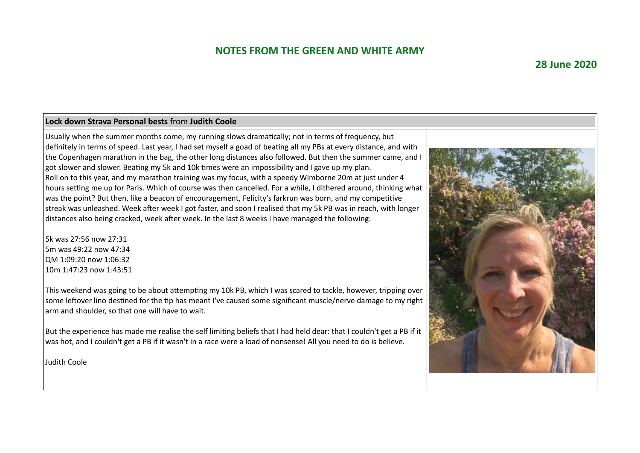#### **28 June 2020**

#### **Lock down Strava Personal bests** from **Judith Coole**

Usually when the summer months come, my running slows dramatically; not in terms of frequency, but definitely in terms of speed. Last year, I had set myself a goad of beating all my PBs at every distance, and with the Copenhagen marathon in the bag, the other long distances also followed. But then the summer came, and I got slower and slower. Beating my 5k and 10k times were an impossibility and I gave up my plan. Roll on to this year, and my marathon training was my focus, with a speedy Wimborne 20m at just under 4 hours setting me up for Paris. Which of course was then cancelled. For a while, I dithered around, thinking what was the point? But then, like a beacon of encouragement, Felicity's farkrun was born, and my competitive streak was unleashed. Week after week I got faster, and soon I realised that my 5k PB was in reach, with longer distances also being cracked, week after week. In the last 8 weeks I have managed the following:

5k was 27:56 now 27:31 5m was 49:22 now 47:34 QM 1:09:20 now 1:06:32 10m 1:47:23 now 1:43:51

This weekend was going to be about attempting my 10k PB, which I was scared to tackle, however, tripping over some leftover lino destined for the tip has meant I've caused some significant muscle/nerve damage to my right arm and shoulder, so that one will have to wait.

But the experience has made me realise the self limiting beliefs that I had held dear: that I couldn't get a PB if it was hot, and I couldn't get a PB if it wasn't in a race were a load of nonsense! All you need to do is believe.

Judith Coole

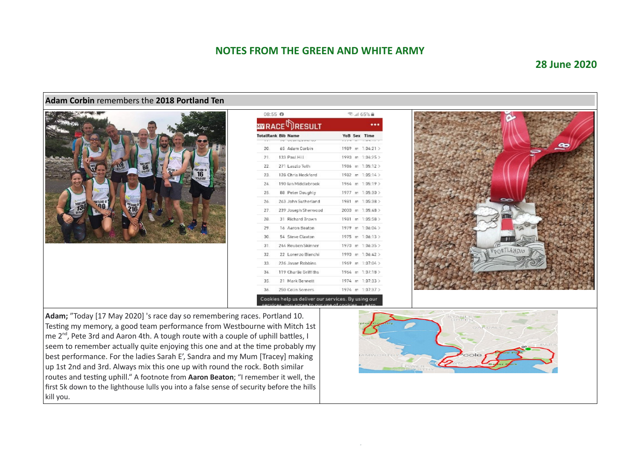#### **28 June 2020**



Testing my memory, a good team performance from Westbourne with Mitch 1st me  $2^{nd}$ , Pete 3rd and Aaron 4th. A tough route with a couple of uphill battles, I seem to remember actually quite enjoying this one and at the time probably my best performance. For the ladies Sarah E', Sandra and my Mum [Tracey] making up 1st 2nd and 3rd. Always mix this one up with round the rock. Both similar routes and testing uphill." A footnote from **Aaron Beaton**; "I remember it well, the first 5k down to the lighthouse lulls you into a false sense of security before the hills kill you.

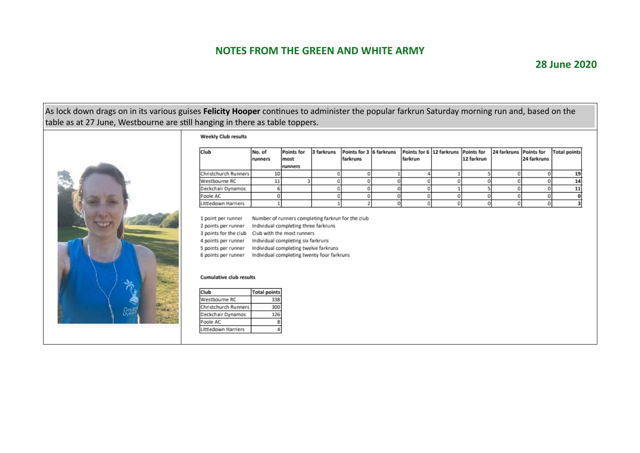### **28 June 2020**

As lock down drags on in its various guises **Felicity Hooper** continues to administer the popular farkrun Saturday morning run and, based on the table as at 27 June, Westbourne are still hanging in there as table toppers.



#### **Weekly Club results**

 $\mathbf{1}$ 

| Club                 | No. of<br>runners | <b>Points for</b><br>most | 3 farkruns | Points for 3 6 farkruns<br>farkruns | Points for 6 12 farkruns Points for<br>farkrun | 12 farkrun | 24 farkruns Points for | 24 farkruns | <b>Total points</b> |
|----------------------|-------------------|---------------------------|------------|-------------------------------------|------------------------------------------------|------------|------------------------|-------------|---------------------|
| Christchurch Runners |                   | runners                   |            |                                     |                                                |            |                        |             |                     |
|                      | 10                |                           |            |                                     |                                                |            |                        |             |                     |
| Westbourne RC        |                   |                           |            |                                     |                                                |            |                        |             |                     |
| Deckchair Dynamos    |                   |                           |            |                                     |                                                |            |                        |             |                     |
| Poole AC             |                   |                           |            |                                     |                                                |            |                        |             |                     |
| Littledown Harriers  |                   |                           |            |                                     |                                                |            |                        |             |                     |

| 1 point per runner    | Number of runners completing farkrun for the club |
|-----------------------|---------------------------------------------------|
| 2 points per runner   | Individual completing three farkruns              |
| 3 points for the club | Club with the most runners                        |
| 4 points per runner   | Individual completing six farkruns                |
| 5 points per runner   | Individual completing twelve farkruns             |
| 6 points per runner   | Individual completing twenty four farkruns        |
|                       |                                                   |

#### Cumulative club results

| Club                 | <b>Total points</b> |
|----------------------|---------------------|
| Westbourne RC        | 338                 |
| Christchurch Runners | 300                 |
| Deckchair Dynamos    | 126                 |
| Poole AC             | я                   |
| Littledown Harriers  | ₫                   |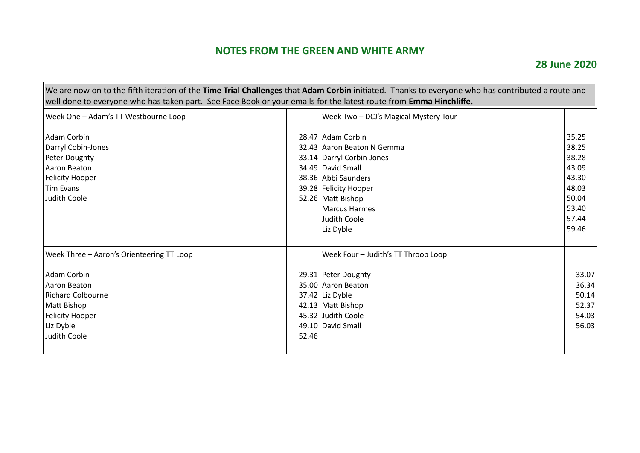$\overline{ }$ 

| We are now on to the fifth iteration of the Time Trial Challenges that Adam Corbin initiated. Thanks to everyone who has contributed a route and<br>well done to everyone who has taken part. See Face Book or your emails for the latest route from Emma Hinchliffe. |       |                                                                                                                                                                                                                |                                                                               |
|-----------------------------------------------------------------------------------------------------------------------------------------------------------------------------------------------------------------------------------------------------------------------|-------|----------------------------------------------------------------------------------------------------------------------------------------------------------------------------------------------------------------|-------------------------------------------------------------------------------|
| Week One - Adam's TT Westbourne Loop                                                                                                                                                                                                                                  |       | Week Two - DCJ's Magical Mystery Tour                                                                                                                                                                          |                                                                               |
| Adam Corbin<br>Darryl Cobin-Jones<br>Peter Doughty<br>Aaron Beaton<br>Felicity Hooper<br><b>Tim Evans</b><br>Judith Coole                                                                                                                                             |       | 28.47 Adam Corbin<br>32.43 Aaron Beaton N Gemma<br>33.14 Darryl Corbin-Jones<br>34.49 David Small<br>38.36 Abbi Saunders<br>39.28 Felicity Hooper<br>52.26 Matt Bishop<br><b>Marcus Harmes</b><br>Judith Coole | 35.25<br>38.25<br>38.28<br>43.09<br>43.30<br>48.03<br>50.04<br>53.40<br>57.44 |
| Week Three - Aaron's Orienteering TT Loop                                                                                                                                                                                                                             |       | Liz Dyble<br>Week Four - Judith's TT Throop Loop                                                                                                                                                               | 59.46                                                                         |
| Adam Corbin<br>Aaron Beaton<br>Richard Colbourne<br>Matt Bishop<br>Felicity Hooper<br>Liz Dyble<br>Judith Coole                                                                                                                                                       | 52.46 | 29.31 Peter Doughty<br>35.00 Aaron Beaton<br>$37.42$ Liz Dyble<br>42.13 Matt Bishop<br>45.32 Judith Coole<br>49.10 David Small                                                                                 | 33.07<br>36.34<br>50.14<br>52.37<br>54.03<br>56.03                            |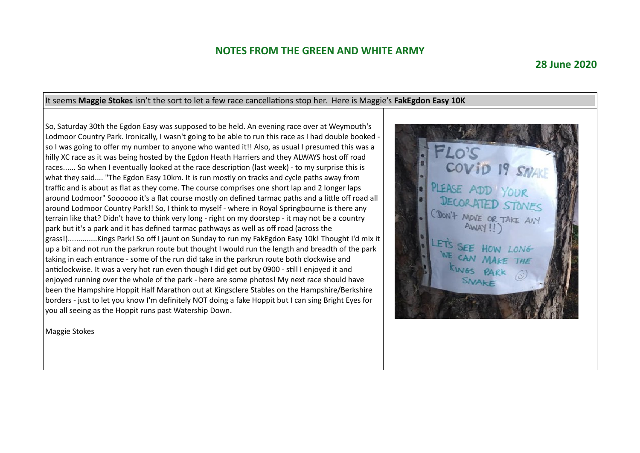#### **28 June 2020**

#### It seems **Maggie Stokes** isn't the sort to let a few race cancellations stop her. Here is Maggie's **FakEgdon Easy 10K** So, Saturday 30th the Egdon Easy was supposed to be held. An evening race over at Weymouth's Lodmoor Country Park. Ironically, I wasn't going to be able to run this race as I had double booked so I was going to offer my number to anyone who wanted it!! Also, as usual I presumed this was a hilly XC race as it was being hosted by the Egdon Heath Harriers and they ALWAYS host off road COVID 19 SNAN races...... So when I eventually looked at the race description (last week) - to my surprise this is what they said.... "The Egdon Easy 10km. It is run mostly on tracks and cycle paths away from traffic and is about as flat as they come. The course comprises one short lap and 2 longer laps around Lodmoor" Soooooo it's a flat course mostly on defined tarmac paths and a little off road all around Lodmoor Country Park!! So, I think to myself - where in Royal Springbourne is there any CDON'T MOVE OR TAKE ANY terrain like that? Didn't have to think very long - right on my doorstep - it may not be a country park but it's a park and it has defined tarmac pathways as well as off road (across the grass!)..............Kings Park! So off I jaunt on Sunday to run my FakEgdon Easy 10k! Thought I'd mix it up a bit and not run the parkrun route but thought I would run the length and breadth of the park OW LONG taking in each entrance - some of the run did take in the parkrun route both clockwise and anticlockwise. It was a very hot run even though I did get out by 0900 - still I enjoyed it and enjoyed running over the whole of the park - here are some photos! My next race should have been the Hampshire Hoppit Half Marathon out at Kingsclere Stables on the Hampshire/Berkshire borders - just to let you know I'm definitely NOT doing a fake Hoppit but I can sing Bright Eyes for you all seeing as the Hoppit runs past Watership Down.

Maggie Stokes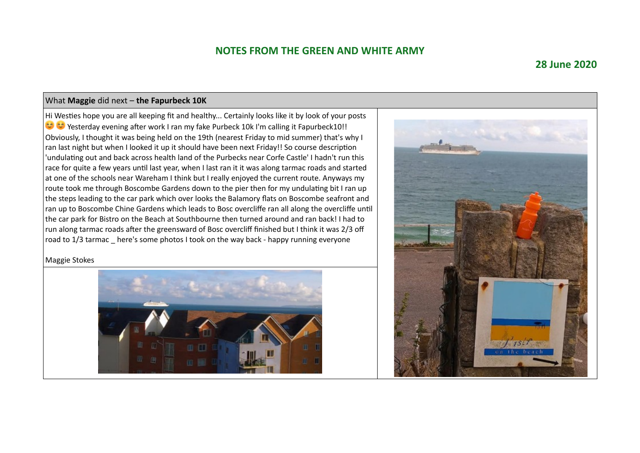### **28 June 2020**

#### What **Maggie** did next – **the Fapurbeck 10K**

Hi Westies hope you are all keeping fit and healthy... Certainly looks like it by look of your posts Yesterday evening after work I ran my fake Purbeck 10k I'm calling it Fapurbeck10!! Obviously, I thought it was being held on the 19th (nearest Friday to mid summer) that's why I ran last night but when I looked it up it should have been next Friday!! So course description 'undulating out and back across health land of the Purbecks near Corfe Castle' I hadn't run this race for quite a few years until last year, when I last ran it it was along tarmac roads and started at one of the schools near Wareham I think but I really enjoyed the current route. Anyways my route took me through Boscombe Gardens down to the pier then for my undulating bit I ran up the steps leading to the car park which over looks the Balamory flats on Boscombe seafront and ran up to Boscombe Chine Gardens which leads to Bosc overcliffe ran all along the overcliffe until the car park for Bistro on the Beach at Southbourne then turned around and ran back! I had to run along tarmac roads after the greensward of Bosc overcliff finished but I think it was 2/3 off road to 1/3 tarmac \_ here's some photos I took on the way back - happy running everyone

#### Maggie Stokes



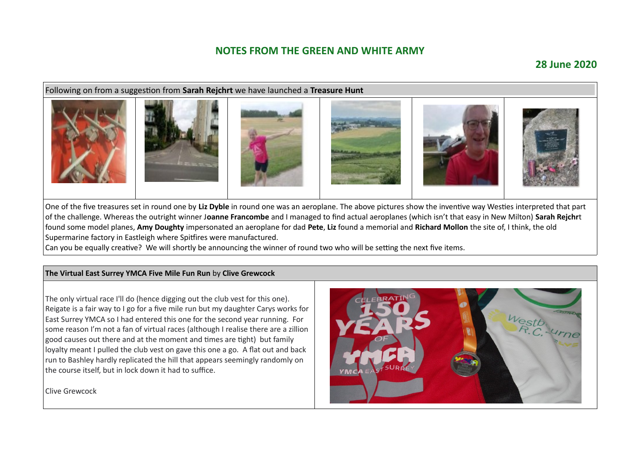### **28 June 2020**

#### Following on from a suggestion from **Sarah Rejchrt** we have launched a **Treasure Hunt**



One of the five treasures set in round one by **Liz Dyble** in round one was an aeroplane. The above pictures show the inventive way Westies interpreted that part of the challenge. Whereas the outright winner J**oanne Francombe** and I managed to find actual aeroplanes (which isn't that easy in New Milton) **Sarah Rejchr**t found some model planes, **Amy Doughty** impersonated an aeroplane for dad **Pete**, **Liz** found a memorial and **Richard Mollon** the site of, I think, the old Supermarine factory in Eastleigh where Spitfires were manufactured.

Can you be equally creative? We will shortly be announcing the winner of round two who will be setting the next five items.

#### **The Virtual East Surrey YMCA Five Mile Fun Run** by **Clive Grewcock**

The only virtual race I'll do (hence digging out the club vest for this one). Reigate is a fair way to I go for a five mile run but my daughter Carys works for East Surrey YMCA so I had entered this one for the second year running. For some reason I'm not a fan of virtual races (although I realise there are a zillion good causes out there and at the moment and times are tight) but family loyalty meant I pulled the club vest on gave this one a go. A flat out and back run to Bashley hardly replicated the hill that appears seemingly randomly on the course itself, but in lock down it had to suffice.

Clive Grewcock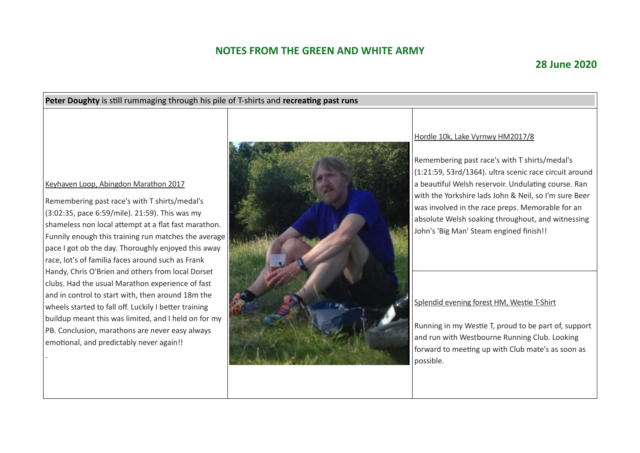# **28 June 2020**

| Peter Doughty is still rummaging through his pile of T-shirts and recreating past runs                                                                                                                                                                                                                                                                                                                                                                                        |  |                                                                                                                                                                                                                                                                                                                                                                                                                 |  |  |  |  |
|-------------------------------------------------------------------------------------------------------------------------------------------------------------------------------------------------------------------------------------------------------------------------------------------------------------------------------------------------------------------------------------------------------------------------------------------------------------------------------|--|-----------------------------------------------------------------------------------------------------------------------------------------------------------------------------------------------------------------------------------------------------------------------------------------------------------------------------------------------------------------------------------------------------------------|--|--|--|--|
| Keyhaven Loop, Abingdon Marathon 2017<br>Remembering past race's with T shirts/medal's<br>(3:02:35, pace 6:59/mile). 21:59). This was my<br>shameless non local attempt at a flat fast marathon.<br>Funnily enough this training run matches the average<br>pace I got ob the day. Thoroughly enjoyed this away<br>race, lot's of familia faces around such as Frank<br>Handy, Chris O'Brien and others from local Dorset<br>clubs. Had the usual Marathon experience of fast |  | Hordle 10k, Lake Vyrnwy HM2017/8<br>Remembering past race's with T shirts/medal's<br>(1:21:59, 53rd/1364). ultra scenic race circuit around<br>a beautiful Welsh reservoir. Undulating course. Ran<br>with the Yorkshire lads John & Neil, so I'm sure Beer<br>was involved in the race preps. Memorable for an<br>absolute Welsh soaking throughout, and witnessing<br>John's 'Big Man' Steam engined finish!! |  |  |  |  |
| and in control to start with, then around 18m the<br>wheels started to fall off. Luckily I better training                                                                                                                                                                                                                                                                                                                                                                    |  | Splendid evening forest HM, Westie T-Shirt                                                                                                                                                                                                                                                                                                                                                                      |  |  |  |  |
| buildup meant this was limited, and I held on for my<br>PB. Conclusion, marathons are never easy always<br>emotional, and predictably never again!!                                                                                                                                                                                                                                                                                                                           |  | Running in my Westie T, proud to be part of, support<br>and run with Westbourne Running Club. Looking<br>forward to meeting up with Club mate's as soon as<br>possible.                                                                                                                                                                                                                                         |  |  |  |  |